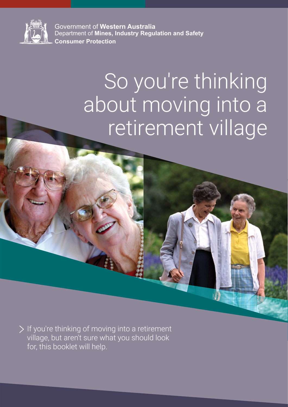

Government of **Western Australia** Department of **Mines, Industry Regulation and Safety Consumer Protection**

# So you're thinking about moving into a retirement village

 $\geq$  If you're thinking of moving into a retirement village, but aren't sure what you should look for, this booklet will help.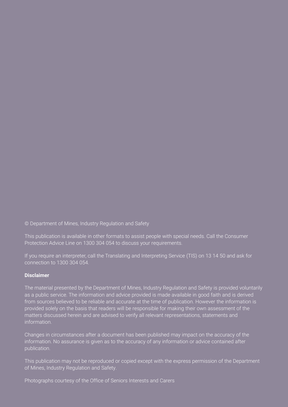© Department of Mines, Industry Regulation and Safety

This publication is available in other formats to assist people with special needs. Call the Consumer Protection Advice Line on 1300 304 054 to discuss your requirements.

If you require an interpreter, call the Translating and Interpreting Service (TIS) on 13 14 50 and ask for connection to 1300 304 054.

#### **Disclaimer**

as a public service. The information and advice provided is made available in good faith and is derived provided solely on the basis that readers will be responsible for making their own assessment of the matters discussed herein and are advised to verify all relevant representations, statements and

Changes in circumstances after a document has been published may impact on the accuracy of the information. No assurance is given as to the accuracy of any information or advice contained after

This publication may not be reproduced or copied except with the express permission of the Department

Photographs courtesy of the Office of Seniors Interests and Carers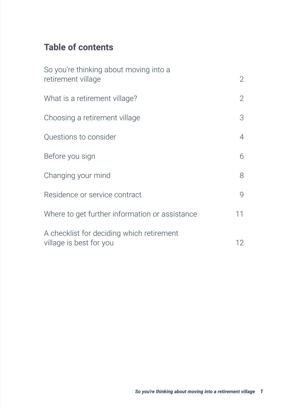# **Table of contents**

| So you're thinking about moving into a<br>retirement village         | $\mathbf{2}$   |
|----------------------------------------------------------------------|----------------|
| What is a retirement village?                                        | $\overline{2}$ |
| Choosing a retirement village                                        | 3              |
| Questions to consider                                                | $\overline{4}$ |
| Before you sign                                                      | 6              |
| Changing your mind                                                   | 8              |
| Residence or service contract                                        | 9              |
| Where to get further information or assistance                       | 11             |
| A checklist for deciding which retirement<br>village is best for you | 12             |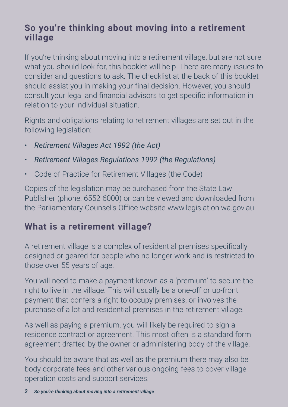#### <span id="page-3-0"></span>**So you're thinking about moving into a retirement village**

If you're thinking about moving into a retirement village, but are not sure what you should look for, this booklet will help. There are many issues to consider and questions to ask. The checklist at the back of this booklet should assist you in making your final decision. However, you should consult your legal and financial advisors to get specific information in relation to your individual situation.

Rights and obligations relating to retirement villages are set out in the following legislation:

- *Retirement Villages Act 1992 (the Act)*
- *Retirement Villages Regulations 1992 (the Regulations)*
- Code of Practice for Retirement Villages (the Code)

Copies of the legislation may be purchased from the State Law Publisher (phone: 6552 6000) or can be viewed and downloaded from the Parliamentary Counsel's Office website www.legislation.wa.gov.au

# **What is a retirement village?**

A retirement village is a complex of residential premises specifically designed or geared for people who no longer work and is restricted to those over 55 years of age.

You will need to make a payment known as a 'premium' to secure the right to live in the village. This will usually be a one-off or up-front payment that confers a right to occupy premises, or involves the purchase of a lot and residential premises in the retirement village.

As well as paying a premium, you will likely be required to sign a residence contract or agreement. This most often is a standard form agreement drafted by the owner or administering body of the village.

You should be aware that as well as the premium there may also be body corporate fees and other various ongoing fees to cover village operation costs and support services.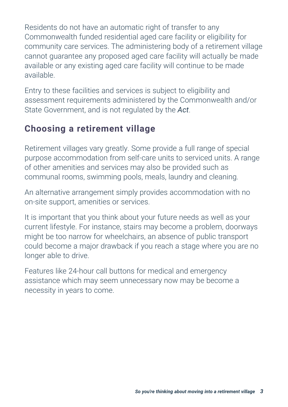<span id="page-4-0"></span>Residents do not have an automatic right of transfer to any Commonwealth funded residential aged care facility or eligibility for community care services. The administering body of a retirement village cannot guarantee any proposed aged care facility will actually be made available or any existing aged care facility will continue to be made available.

Entry to these facilities and services is subject to eligibility and assessment requirements administered by the Commonwealth and/or State Government, and is not regulated by the *Act*.

#### **Choosing a retirement village**

Retirement villages vary greatly. Some provide a full range of special purpose accommodation from self-care units to serviced units. A range of other amenities and services may also be provided such as communal rooms, swimming pools, meals, laundry and cleaning.

An alternative arrangement simply provides accommodation with no on-site support, amenities or services.

It is important that you think about your future needs as well as your current lifestyle. For instance, stairs may become a problem, doorways might be too narrow for wheelchairs, an absence of public transport could become a major drawback if you reach a stage where you are no longer able to drive.

Features like 24-hour call buttons for medical and emergency assistance which may seem unnecessary now may be become a necessity in years to come.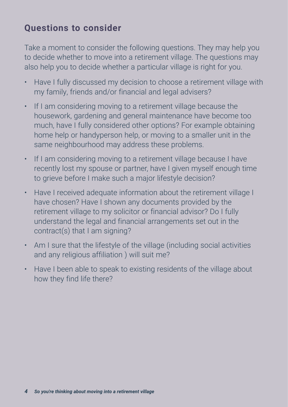#### <span id="page-5-0"></span>**Questions to consider**

Take a moment to consider the following questions. They may help you to decide whether to move into a retirement village. The questions may also help you to decide whether a particular village is right for you.

- Have I fully discussed my decision to choose a retirement village with my family, friends and/or financial and legal advisers?
- If I am considering moving to a retirement village because the housework, gardening and general maintenance have become too much, have I fully considered other options? For example obtaining home help or handyperson help, or moving to a smaller unit in the same neighbourhood may address these problems.
- If I am considering moving to a retirement village because I have recently lost my spouse or partner, have I given myself enough time to grieve before I make such a major lifestyle decision?
- Have I received adequate information about the retirement village I have chosen? Have I shown any documents provided by the retirement village to my solicitor or financial advisor? Do I fully understand the legal and financial arrangements set out in the contract(s) that I am signing?
- Am I sure that the lifestyle of the village (including social activities and any religious affiliation ) will suit me?
- Have I been able to speak to existing residents of the village about how they find life there?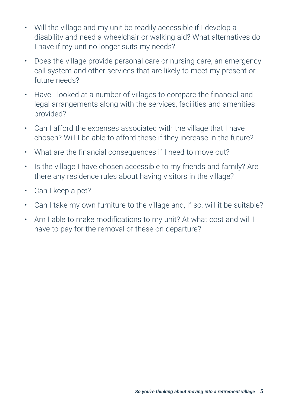- Will the village and my unit be readily accessible if I develop a disability and need a wheelchair or walking aid? What alternatives do I have if my unit no longer suits my needs?
- Does the village provide personal care or nursing care, an emergency call system and other services that are likely to meet my present or future needs?
- Have I looked at a number of villages to compare the financial and legal arrangements along with the services, facilities and amenities provided?
- Can I afford the expenses associated with the village that I have chosen? Will I be able to afford these if they increase in the future?
- What are the financial consequences if I need to move out?
- Is the village I have chosen accessible to my friends and family? Are there any residence rules about having visitors in the village?
- Can I keep a pet?
- Can I take my own furniture to the village and, if so, will it be suitable?
- Am I able to make modifications to my unit? At what cost and will I have to pay for the removal of these on departure?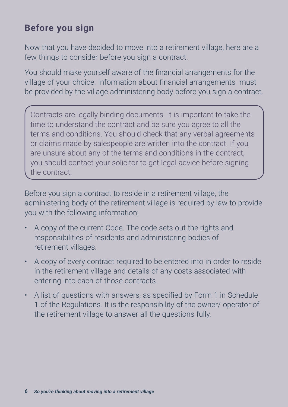### <span id="page-7-0"></span>**Before you sign**

Now that you have decided to move into a retirement village, here are a few things to consider before you sign a contract.

You should make yourself aware of the financial arrangements for the village of your choice. Information about financial arrangements must be provided by the village administering body before you sign a contract.

Contracts are legally binding documents. It is important to take the time to understand the contract and be sure you agree to all the terms and conditions. You should check that any verbal agreements or claims made by salespeople are written into the contract. If you are unsure about any of the terms and conditions in the contract, you should contact your solicitor to get legal advice before signing the contract.

Before you sign a contract to reside in a retirement village, the administering body of the retirement village is required by law to provide you with the following information:

- A copy of the current Code. The code sets out the rights and responsibilities of residents and administering bodies of retirement villages.
- A copy of every contract required to be entered into in order to reside in the retirement village and details of any costs associated with entering into each of those contracts.
- A list of questions with answers, as specified by Form 1 in Schedule 1 of the Regulations. It is the responsibility of the owner/ operator of the retirement village to answer all the questions fully.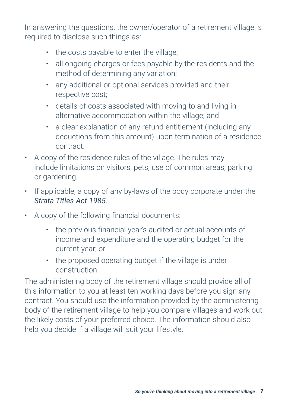In answering the questions, the owner/operator of a retirement village is required to disclose such things as:

- the costs payable to enter the village;
- all ongoing charges or fees payable by the residents and the method of determining any variation;
- any additional or optional services provided and their respective cost;
- details of costs associated with moving to and living in alternative accommodation within the village; and
- a clear explanation of any refund entitlement (including any deductions from this amount) upon termination of a residence contract.
- A copy of the residence rules of the village. The rules may include limitations on visitors, pets, use of common areas, parking or gardening.
- If applicable, a copy of any by-laws of the body corporate under the *Strata Titles Act 1985.*
- A copy of the following financial documents:
	- the previous financial year's audited or actual accounts of income and expenditure and the operating budget for the current year; or
	- the proposed operating budget if the village is under construction.

The administering body of the retirement village should provide all of this information to you at least ten working days before you sign any contract. You should use the information provided by the administering body of the retirement village to help you compare villages and work out the likely costs of your preferred choice. The information should also help you decide if a village will suit your lifestyle.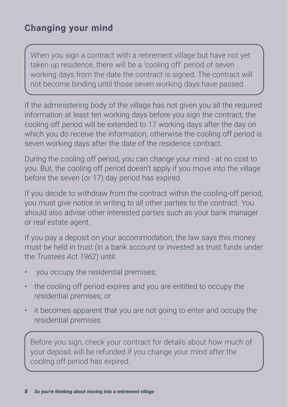## <span id="page-9-0"></span>**Changing your mind**

When you sign a contract with a retirement village but have not yet taken up residence, there will be a 'cooling off' period of seven working days from the date the contract is signed. The contract will not become binding until those seven working days have passed.

If the administering body of the village has not given you all the required information at least ten working days before you sign the contract, the cooling off period will be extended to 17 working days after the day on which you do receive the information, otherwise the cooling off period is seven working days after the date of the residence contract.

During the cooling off period, you can change your mind - at no cost to you. But, the cooling off period doesn't apply if you move into the village before the seven (or 17) day period has expired.

If you decide to withdraw from the contract within the cooling-off period, you must give notice in writing to all other parties to the contract. You should also advise other interested parties such as your bank manager or real estate agent.

If you pay a deposit on your accommodation, the law says this money must be held in trust (in a bank account or invested as trust funds under the *Trustees Act 1962*) until:

- you occupy the residential premises;
- the cooling off period expires and you are entitled to occupy the residential premises; or
- it becomes apparent that you are not going to enter and occupy the residential premises.

Before you sign, check your contract for details about how much of your deposit will be refunded if you change your mind after the cooling off period has expired.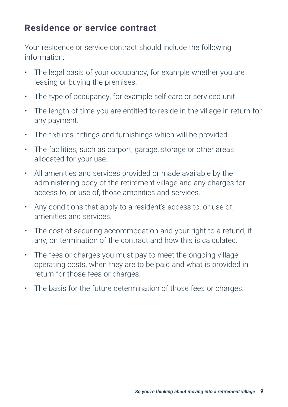#### <span id="page-10-0"></span>**Residence or service contract**

Your residence or service contract should include the following information:

- The legal basis of your occupancy, for example whether you are leasing or buying the premises.
- The type of occupancy, for example self care or serviced unit.
- The length of time you are entitled to reside in the village in return for any payment.
- The fixtures, fittings and furnishings which will be provided.
- The facilities, such as carport, garage, storage or other areas allocated for your use.
- All amenities and services provided or made available by the administering body of the retirement village and any charges for access to, or use of, those amenities and services.
- Any conditions that apply to a resident's access to, or use of, amenities and services.
- The cost of securing accommodation and your right to a refund, if any, on termination of the contract and how this is calculated.
- The fees or charges you must pay to meet the ongoing village operating costs, when they are to be paid and what is provided in return for those fees or charges.
- The basis for the future determination of those fees or charges.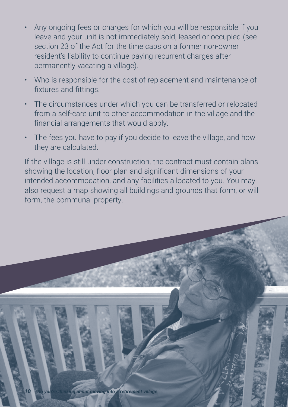- Any ongoing fees or charges for which you will be responsible if you leave and your unit is not immediately sold, leased or occupied (see section 23 of the Act for the time caps on a former non-owner resident's liability to continue paying recurrent charges after permanently vacating a village).
- Who is responsible for the cost of replacement and maintenance of fixtures and fittings.
- The circumstances under which you can be transferred or relocated from a self-care unit to other accommodation in the village and the financial arrangements that would apply.
- The fees you have to pay if you decide to leave the village, and how they are calculated.

If the village is still under construction, the contract must contain plans showing the location, floor plan and significant dimensions of your intended accommodation, and any facilities allocated to you. You may also request a map showing all buildings and grounds that form, or will form, the communal property.

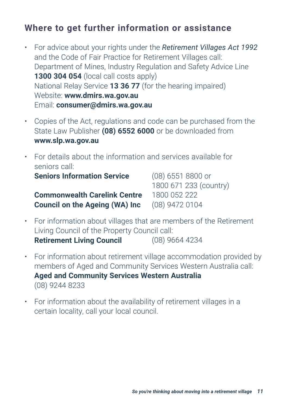#### <span id="page-12-0"></span>**Where to get further information or assistance**

- For advice about your rights under the *Retirement Villages Act 1992* and the Code of Fair Practice for Retirement Villages call: Department of Mines, Industry Regulation and Safety Advice Line **1300 304 054** (local call costs apply) National Relay Service **13 36 77** (for the hearing impaired) Website: **www.dmirs.wa.gov.au** Email: **consumer@dmirs.wa.gov.au**
- Copies of the Act, regulations and code can be purchased from the State Law Publisher **(08) 6552 6000** or be downloaded from **www.slp.wa.gov.au**
- For details about the information and services available for seniors call: **Seniors Information Service** (08) 6551 8800 or 1800 671 233 (country) **Commonwealth Carelink Centre** 1800 052 222

**Council on the Ageing (WA) Inc** (08) 9472 0104

- For information about villages that are members of the Retirement Living Council of the Property Council call: **Retirement Living Council** (08) 9664 4234
- For information about retirement village accommodation provided by members of Aged and Community Services Western Australia call: **Aged and Community Services Western Australia** (08) 9244 8233
- For information about the availability of retirement villages in a certain locality, call your local council.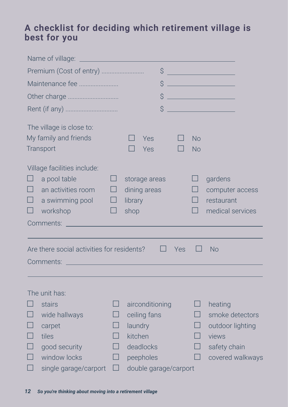#### <span id="page-13-0"></span>**A checklist for deciding which retirement village is best for you**

|                                                                                                                                                                                                | Premium (Cost of entry)                                        |    |                                                  | \$                |     |                                                 |                                                              |  |
|------------------------------------------------------------------------------------------------------------------------------------------------------------------------------------------------|----------------------------------------------------------------|----|--------------------------------------------------|-------------------|-----|-------------------------------------------------|--------------------------------------------------------------|--|
| Maintenance fee<br>\$                                                                                                                                                                          |                                                                |    |                                                  |                   |     |                                                 |                                                              |  |
|                                                                                                                                                                                                | Other charge                                                   | \$ |                                                  |                   |     |                                                 |                                                              |  |
|                                                                                                                                                                                                |                                                                |    | \$                                               |                   |     | <u> 1999 - Johann Barnett, fransk politiker</u> |                                                              |  |
|                                                                                                                                                                                                | The village is close to:<br>My family and friends<br>Transport |    |                                                  | <b>Yes</b><br>Yes |     | <b>No</b><br><b>No</b>                          |                                                              |  |
| Village facilities include:<br>a pool table<br>$\mathsf{L}$<br>$\Box$<br>П<br>an activities room<br>$\Box$<br>$\Box$<br>a swimming pool<br>$\Box$<br>$\Box$<br>$\Box$<br>workshop<br>Comments: |                                                                |    | storage areas<br>dining areas<br>library<br>shop |                   |     | $\Box$                                          | gardens<br>computer access<br>restaurant<br>medical services |  |
|                                                                                                                                                                                                |                                                                |    |                                                  |                   |     |                                                 |                                                              |  |
|                                                                                                                                                                                                | Are there social activities for residents?                     |    |                                                  |                   | Yes |                                                 | <b>No</b>                                                    |  |
|                                                                                                                                                                                                | Comments: William March 2014                                   |    |                                                  |                   |     |                                                 |                                                              |  |
|                                                                                                                                                                                                | The unit has:                                                  |    |                                                  |                   |     |                                                 |                                                              |  |
|                                                                                                                                                                                                | stairs                                                         |    |                                                  | airconditioning   |     |                                                 | heating                                                      |  |
| $\Box$                                                                                                                                                                                         | wide hallways                                                  |    | ceiling fans                                     |                   |     | $\mathsf{L}$                                    | smoke detectors                                              |  |
|                                                                                                                                                                                                | carpet                                                         |    | laundry                                          |                   |     |                                                 | outdoor lighting                                             |  |
| П                                                                                                                                                                                              | tiles                                                          |    | kitchen                                          |                   |     | $\mathsf{L}$                                    | views                                                        |  |
|                                                                                                                                                                                                | good security                                                  |    | deadlocks<br>$\Box$                              |                   |     | safety chain                                    |                                                              |  |
| window locks<br>П<br>peepholes<br>⊔                                                                                                                                                            |                                                                |    |                                                  |                   |     | $\Box$                                          | covered walkways                                             |  |
|                                                                                                                                                                                                | single garage/carport                                          | H  | double garage/carport                            |                   |     |                                                 |                                                              |  |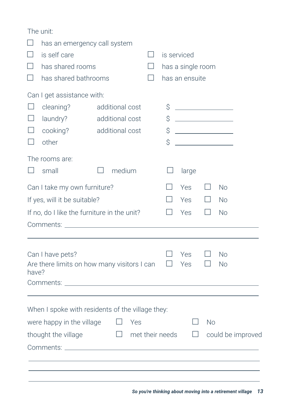|                                                      | The unit:                                        |              |                        |         |                   |                     |              |                   |
|------------------------------------------------------|--------------------------------------------------|--------------|------------------------|---------|-------------------|---------------------|--------------|-------------------|
|                                                      | has an emergency call system                     |              |                        |         |                   |                     |              |                   |
| $\Box$                                               | is self care                                     |              |                        | $\Box$  | is serviced       |                     |              |                   |
|                                                      | has shared rooms                                 |              |                        | $\perp$ | has a single room |                     |              |                   |
| $\Box$                                               | has shared bathrooms                             |              |                        |         | has an ensuite    |                     |              |                   |
|                                                      | Can I get assistance with:                       |              |                        |         |                   |                     |              |                   |
| $\Box$                                               | cleaning?                                        |              | additional cost        |         |                   |                     |              |                   |
| $\perp$                                              | laundry?                                         |              | additional cost        |         |                   | $\uparrow$ $\qquad$ |              |                   |
| $\vert \ \ \vert$                                    | cooking?                                         |              | additional cost        |         | \$                |                     |              |                   |
|                                                      | other                                            |              |                        |         | \$                |                     |              |                   |
|                                                      | The rooms are:                                   |              |                        |         |                   |                     |              |                   |
| $\perp$                                              | small                                            | $\mathbf{I}$ | medium                 |         | $\Box$            | large               |              |                   |
| Can I take my own furniture?                         |                                                  |              |                        |         | $\mathsf{L}$      | <b>Yes</b>          | $\Box$       | <b>No</b>         |
|                                                      | If yes, will it be suitable?                     |              |                        |         |                   | Yes                 | $\Box$       | <b>No</b>         |
| If no, do I like the furniture in the unit?          |                                                  |              |                        |         |                   | Yes                 | $\Box$       | <b>No</b>         |
|                                                      |                                                  |              |                        |         |                   |                     |              |                   |
|                                                      |                                                  |              |                        |         |                   |                     |              |                   |
| Can I have pets?                                     |                                                  |              |                        |         |                   | Yes                 | $\mathsf{L}$ | <b>No</b>         |
| Are there limits on how many visitors I can<br>have? |                                                  |              |                        |         | Ш                 | Yes                 | ш            | <b>No</b>         |
|                                                      |                                                  |              |                        |         |                   |                     |              |                   |
|                                                      |                                                  |              |                        |         |                   |                     |              |                   |
|                                                      | When I spoke with residents of the village they: |              |                        |         |                   |                     |              |                   |
| ΓJ<br>were happy in the village<br><b>No</b><br>Yes  |                                                  |              |                        |         |                   |                     |              |                   |
|                                                      | thought the village                              |              | $\Box$ met their needs |         |                   | $\Box$              |              | could be improved |
|                                                      |                                                  |              |                        |         |                   |                     |              |                   |
|                                                      |                                                  |              |                        |         |                   |                     |              |                   |
|                                                      |                                                  |              |                        |         |                   |                     |              |                   |